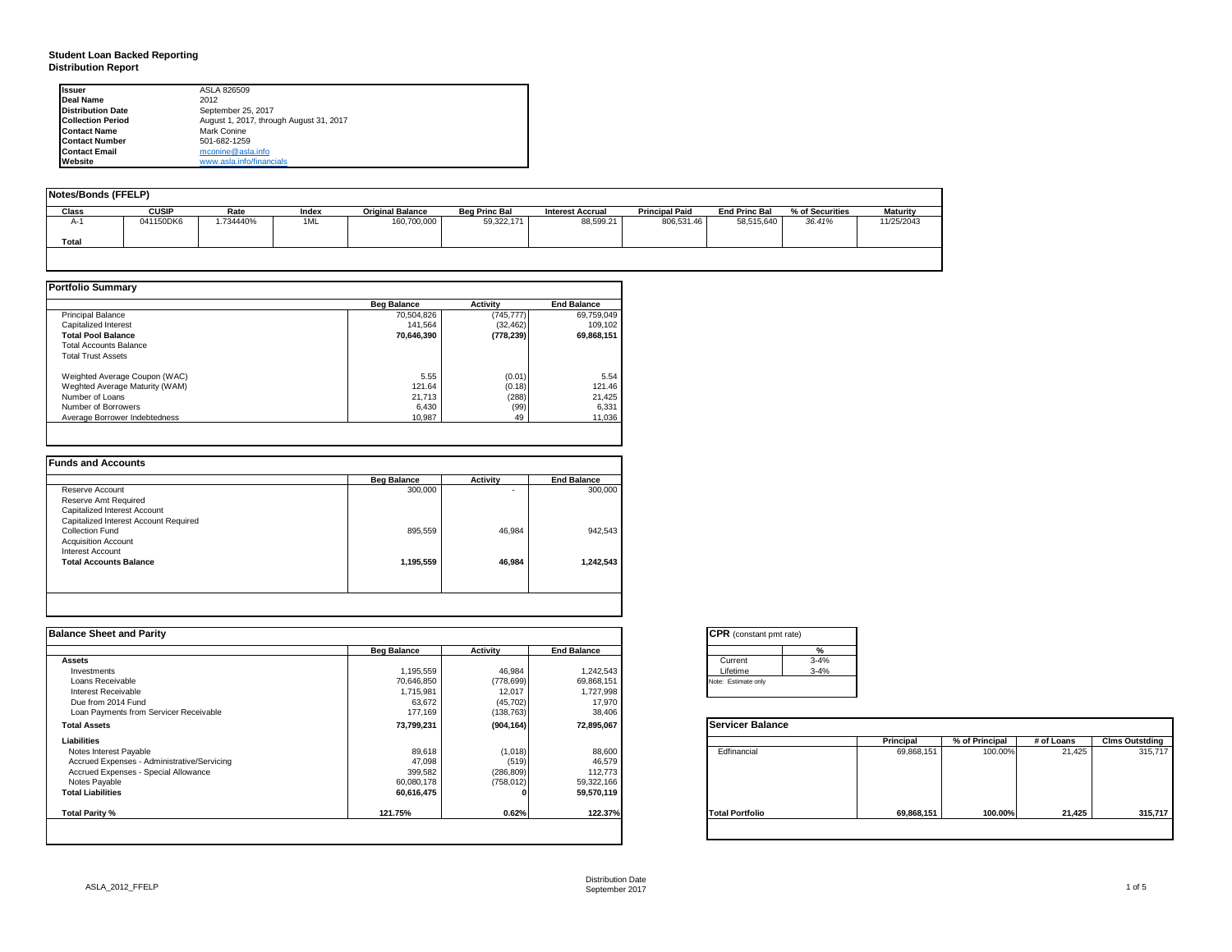#### **Student Loan Backed Reporting Distribution Report**

| <b>Issuer</b>            | ASLA 826509                             |
|--------------------------|-----------------------------------------|
| Deal Name                | 2012                                    |
| <b>Distribution Date</b> | September 25, 2017                      |
| <b>Collection Period</b> | August 1, 2017, through August 31, 2017 |
| <b>Contact Name</b>      | Mark Conine                             |
| <b>Contact Number</b>    | 501-682-1259                            |
| <b>Contact Email</b>     | mconine@asla.info                       |
| Website                  | www.asla.info/financials                |

| Notes/Bonds (FFELP) |              |           |       |                         |                      |                         |                       |                      |                 |                 |
|---------------------|--------------|-----------|-------|-------------------------|----------------------|-------------------------|-----------------------|----------------------|-----------------|-----------------|
| Class               | <b>CUSIP</b> | Rate      | Index | <b>Original Balance</b> | <b>Bea Princ Bal</b> | <b>Interest Accrual</b> | <b>Principal Paid</b> | <b>End Princ Bal</b> | % of Securities | <b>Maturity</b> |
| А-                  | 041150DK6    | 1.734440% | 1ML   | 160,700,000             | 59,322,171           | 88,599.21               | 806,531.46            | 58,515,640           | 36.41%          | 11/25/2043      |
| Total               |              |           |       |                         |                      |                         |                       |                      |                 |                 |

|                                | <b>Beg Balance</b> | Activity   | <b>End Balance</b> |
|--------------------------------|--------------------|------------|--------------------|
| <b>Principal Balance</b>       | 70,504,826         | (745, 777) | 69,759,049         |
| Capitalized Interest           | 141.564            | (32, 462)  | 109.102            |
| <b>Total Pool Balance</b>      | 70,646,390         | (778, 239) | 69,868,151         |
| <b>Total Accounts Balance</b>  |                    |            |                    |
| <b>Total Trust Assets</b>      |                    |            |                    |
| Weighted Average Coupon (WAC)  | 5.55               | (0.01)     | 5.54               |
| Weghted Average Maturity (WAM) | 121.64             | (0.18)     | 121.46             |
| Number of Loans                | 21,713             | (288)      | 21,425             |
| Number of Borrowers            | 6,430              | (99)       | 6,331              |
| Average Borrower Indebtedness  | 10.987             | 49         | 11,036             |

| <b>Beg Balance</b> | <b>Activity</b> | <b>End Balance</b> |
|--------------------|-----------------|--------------------|
| 300,000            | ۰               | 300,000            |
|                    |                 |                    |
|                    |                 |                    |
|                    |                 |                    |
| 895.559            | 46,984          | 942,543            |
|                    |                 |                    |
|                    |                 |                    |
| 1,195,559          | 46,984          | 1,242,543          |
|                    |                 |                    |
|                    |                 |                    |

| <b>Balance Sheet and Parity</b>             |                    |            |                    | <b>CPR</b> (constant pmt rate) |            |                |            |                       |
|---------------------------------------------|--------------------|------------|--------------------|--------------------------------|------------|----------------|------------|-----------------------|
|                                             | <b>Beg Balance</b> | Activity   | <b>End Balance</b> | $\frac{9}{6}$                  |            |                |            |                       |
| <b>Assets</b>                               |                    |            |                    | $3 - 4%$<br>Current            |            |                |            |                       |
| Investments                                 | 1,195,559          | 46,984     | 1,242,543          | $3 - 4%$<br>Lifetime           |            |                |            |                       |
| Loans Receivable                            | 70,646,850         | (778, 699) | 69,868,151         | Note: Estimate only            |            |                |            |                       |
| Interest Receivable                         | 1,715,981          | 12,017     | 1,727,998          |                                |            |                |            |                       |
| Due from 2014 Fund                          | 63,672             | (45, 702)  | 17,970             |                                |            |                |            |                       |
| Loan Payments from Servicer Receivable      | 177,169            | (138, 763) | 38,406             |                                |            |                |            |                       |
| <b>Total Assets</b>                         | 73,799,231         | (904, 164) | 72,895,067         | Servicer Balance               |            |                |            |                       |
| Liabilities                                 |                    |            |                    |                                | Principal  | % of Principal | # of Loans | <b>Clms Outstding</b> |
| Notes Interest Payable                      | 89,618             | (1,018)    | 88,600             | Edfinancial                    | 69,868,151 | 100.00%        | 21,425     | 315,717               |
| Accrued Expenses - Administrative/Servicing | 47,098             | (519)      | 46,579             |                                |            |                |            |                       |
| Accrued Expenses - Special Allowance        | 399,582            | (286, 809) | 112,773            |                                |            |                |            |                       |
| Notes Payable                               | 60,080,178         | (758, 012) | 59,322,166         |                                |            |                |            |                       |
| <b>Total Liabilities</b>                    | 60,616,475         |            | 59,570,119         |                                |            |                |            |                       |
| Total Parity %                              | 121.75%            | 0.62%      | 122.37%            | <b>Total Portfolio</b>         | 69,868,151 | 100.00%        | 21,425     | 315,717               |
|                                             |                    |            |                    |                                |            |                |            |                       |

| <b>CPR</b> (constant pmt rate) |          |
|--------------------------------|----------|
|                                | %        |
| Current                        | $3 - 4%$ |
| Lifetime                       | $3 - 4%$ |
| Note: Estimate only            |          |

|                        | Principal  | % of Principal | # of Loans | <b>Clms Outstding</b> |
|------------------------|------------|----------------|------------|-----------------------|
| Edfinancial            | 69,868,151 | 100.00%        | 21,425     | 315,717               |
| <b>Total Portfolio</b> | 69,868,151 | 100.00%        | 21,425     | 315,717               |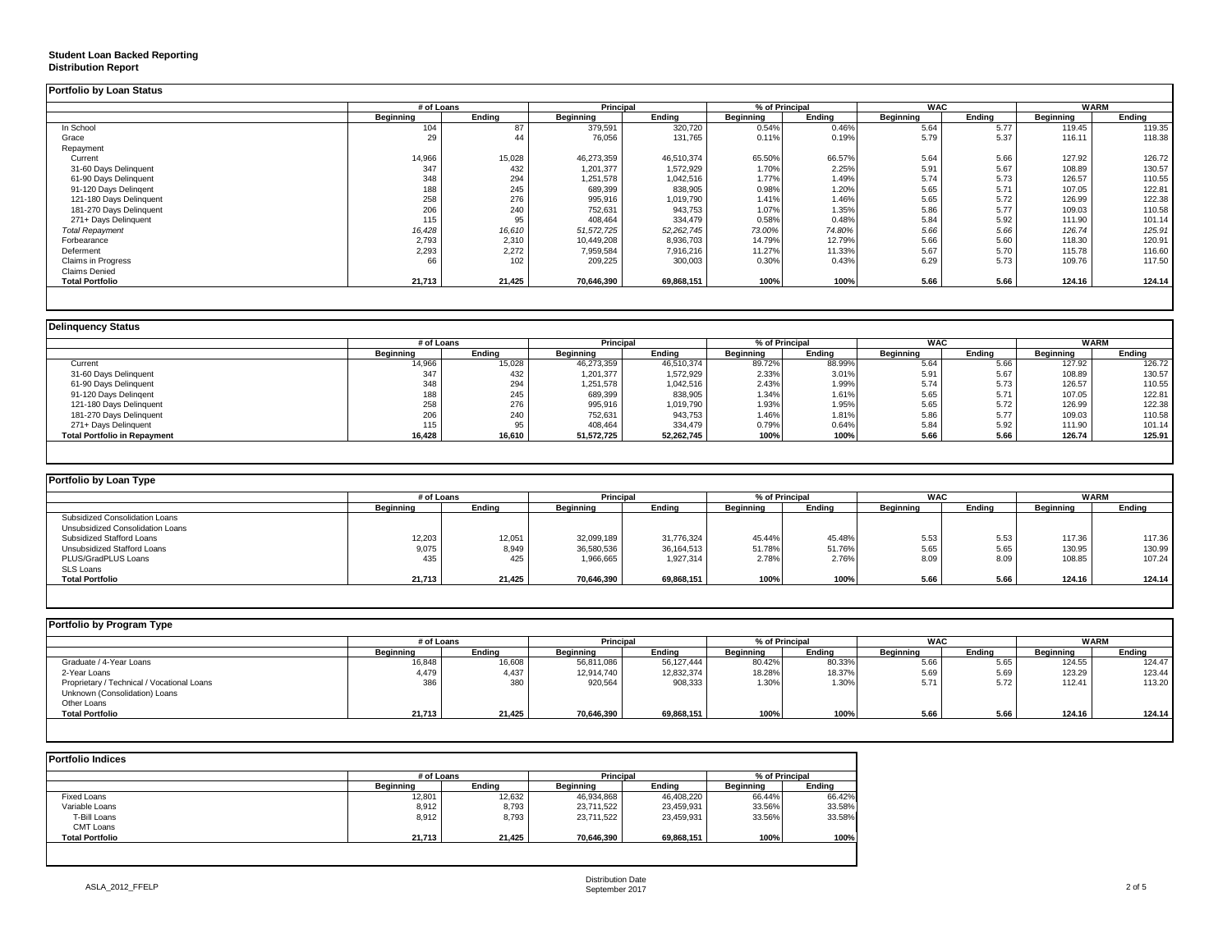### **Student Loan Backed Reporting**

#### **Distribution Report**

|                           | # of Loans |        | <b>Principal</b> |            | % of Principal   |        | <b>WAC</b> |        | <b>WARM</b> |        |
|---------------------------|------------|--------|------------------|------------|------------------|--------|------------|--------|-------------|--------|
|                           | Beginning  | Endina | Beginning        | Endina     | <b>Beginning</b> | Ending | Beginning  | Endina | Beginning   | Ending |
| In School                 | 104        | 87     | 379,591          | 320,720    | 0.54%            | 0.46%  | 5.64       | 5.77   | 119.45      | 119.35 |
| Grace                     | 29         |        | 76,056           | 131,765    | 0.11%            | 0.19%  | 5.79       | 5.37   | 116.11      | 118.38 |
| Repayment                 |            |        |                  |            |                  |        |            |        |             |        |
| Current                   | 14,966     | 15,028 | 46,273,359       | 46,510,374 | 65.50%           | 66.57% | 5.64       | 5.66   | 127.92      | 126.72 |
| 31-60 Days Delinquent     | 347        | 432    | 1,201,377        | 1,572,929  | 1.70%            | 2.25%  | 5.91       | 5.67   | 108.89      | 130.57 |
| 61-90 Days Delinquent     | 348        | 294    | 1,251,578        | 1,042,516  | 1.77%            | 1.49%  | 5.74       | 5.73   | 126.57      | 110.55 |
| 91-120 Days Delingent     | 188        | 245    | 689,399          | 838,905    | 0.98%            | 1.20%  | 5.65       | 5.71   | 107.05      | 122.81 |
| 121-180 Days Delinquent   | 258        | 276    | 995,916          | 1,019,790  | 1.41%            | 1.46%  | 5.65       | 5.72   | 126.99      | 122.38 |
| 181-270 Days Delinquent   | 206        | 240    | 752,631          | 943,753    | 1.07%            | 1.35%  | 5.86       | 5.77   | 109.03      | 110.58 |
| 271+ Days Delinquent      | 115        | 95     | 408,464          | 334,479    | 0.58%            | 0.48%  | 5.84       | 5.92   | 111.90      | 101.14 |
| <b>Total Repayment</b>    | 16,428     | 16,610 | 51,572,725       | 52,262,745 | 73.00%           | 74.80% | 5.66       | 5.66   | 126.74      | 125.91 |
| Forbearance               | 2,793      | 2,310  | 10,449,208       | 8,936,703  | 14.79%           | 12.79% | 5.66       | 5.60   | 118.30      | 120.91 |
| Deferment                 | 2,293      | 2,272  | 7,959,584        | 7,916,216  | 11.27%           | 11.33% | 5.67       | 5.70   | 115.78      | 116.60 |
| <b>Claims in Progress</b> | 66         | 102    | 209,225          | 300,003    | 0.30%            | 0.43%  | 6.29       | 5.73   | 109.76      | 117.50 |
| <b>Claims Denied</b>      |            |        |                  |            |                  |        |            |        |             |        |
| <b>Total Portfolio</b>    | 21,713     | 21,425 | 70,646,390       | 69,868,151 | 100%             | 100%   | 5.66       | 5.66   | 124.16      | 124.14 |

|                                     |           | # of Loans |                  | <b>Principal</b> |                  | % of Principal | <b>WAC</b>       |        | WARM             |        |
|-------------------------------------|-----------|------------|------------------|------------------|------------------|----------------|------------------|--------|------------------|--------|
|                                     | Beginning | Ending     | <b>Beginning</b> | Ending           | <b>Beginning</b> | Ending         | <b>Beginning</b> | Endina | <b>Beginning</b> | Endina |
| Current                             | 14,966    | 15,028     | 46,273,359       | 46,510,374       | 89.72%           | 88.99%         | 5.64             | 5.66   | 127.92           | 126.72 |
| 31-60 Days Delinquent               | 347       | 432        | 1,201,377        | 1,572,929        | 2.33%            | 3.01%          | 5.91             | 5.67   | 108.89           | 130.57 |
| 61-90 Days Delinquent               | 348       | 294        | 1,251,578        | 1,042,516        | 2.43%            | 1.99%          | 5.74             | 5.73   | 126.57           | 110.55 |
| 91-120 Days Delingent               | 188       | 245        | 689,399          | 838,905          | 1.34%            | 1.61%          | 5.65             | 5.71   | 107.05           | 122.81 |
| 121-180 Days Delinquent             | 258       | 276        | 995,916          | 1,019,790        | 1.93%            | 1.95%          | 5.65             | 5.72   | 126.99           | 122.38 |
| 181-270 Days Delinquent             | 206       | 240        | 752,631          | 943,753          | 1.46%            | 1.81%          | 5.86             | 5.77   | 109.03           | 110.58 |
| 271+ Days Delinquent                | 115       |            | 408,464          | 334,479          | 0.79%            | 0.64%          | 5.84             | 5.92   | 111.90           | 101.14 |
| <b>Total Portfolio in Repayment</b> | 16,428    | 16,610     | 51,572,725       | 52,262,745       | 100%             | 100%           | 5.66             | 5.66   | 126.74           | 125.91 |

| Portfolio by Loan Type           |                  |        |                  |              |                  |                |                  |            |           |             |
|----------------------------------|------------------|--------|------------------|--------------|------------------|----------------|------------------|------------|-----------|-------------|
|                                  | # of Loans       |        | Principal        |              |                  | % of Principal |                  | <b>WAC</b> |           | <b>WARM</b> |
|                                  | <b>Beginning</b> | Ending | <b>Beginning</b> | Ending       | <b>Beainning</b> | Ending         | <b>Beginning</b> | Ending     | Beginning | Ending      |
| Subsidized Consolidation Loans   |                  |        |                  |              |                  |                |                  |            |           |             |
| Unsubsidized Consolidation Loans |                  |        |                  |              |                  |                |                  |            |           |             |
| Subsidized Stafford Loans        | 12,203           | 12,051 | 32,099,189       | 31,776,324   | 45.44%           | 45.48%         | 5.53             | 5.53       | 117.36    | 117.36      |
| Unsubsidized Stafford Loans      | 9,075            | 8,949  | 36,580,536       | 36, 164, 513 | 51.78%           | 51.76%         | 5.65             | 5.65       | 130.95    | 130.99      |
| PLUS/GradPLUS Loans              | 435              | 425    | 1,966,665        | 1.927.314    | 2.78%            | 2.76%          | 8.09             | 8.09       | 108.85    | 107.24      |
| SLS Loans                        |                  |        |                  |              |                  |                |                  |            |           |             |
| <b>Total Portfolio</b>           | 21,713           | 21,425 | 70,646,390       | 69,868,151   | 100%             | 100%           | 5.66             | 5.66       | 124.16    | 124.14      |

| Portfolio by Program Type                                                   |                  |            |                  |                             |           |        |                  |            |           |             |
|-----------------------------------------------------------------------------|------------------|------------|------------------|-----------------------------|-----------|--------|------------------|------------|-----------|-------------|
|                                                                             |                  | # of Loans |                  | Principal<br>% of Principal |           |        |                  | <b>WAC</b> |           | <b>WARM</b> |
|                                                                             | <b>Beginning</b> | Endina     | <b>Beginning</b> | Ending                      | Beginning | Endina | <b>Beainning</b> | Endina     | Beginning | Ending      |
| Graduate / 4-Year Loans                                                     | 16,848           | 16,608     | 56,811,086       | 56,127,444                  | 80.42%    | 80.33% | 5.66             | 5.65       | 124.55    | 124.47      |
| 2-Year Loans                                                                | 4,479            | 4,437      | 12,914,740       | 12,832,374                  | 18.28%    | 18.37% | 5.69             | 5.69       | 123.29    | 123.44      |
| Proprietary / Technical / Vocational Loans<br>Unknown (Consolidation) Loans | 386              | 380        | 920,564          | 908,333                     | 1.30%     | 1.30%  | 5.71             | 5.72       | 112.41    | 113.20      |
| Other Loans                                                                 |                  |            |                  |                             |           |        |                  |            |           |             |
| <b>Total Portfolio</b>                                                      | 21,713           | 21,425     | 70,646,390       | 69,868,151                  | 100%      | 100%   | 5.66             | 5.66       | 124.16    | 124.14      |

| <b>Portfolio Indices</b> |            |        |            |            |                  |        |  |
|--------------------------|------------|--------|------------|------------|------------------|--------|--|
|                          | # of Loans |        | Principal  |            | % of Principal   |        |  |
|                          | Beainnina  | Endina | Beainnina  | Endina     | <b>Beginning</b> | Ending |  |
| Fixed Loans              | 12,801     | 12,632 | 46,934,868 | 46,408,220 | 66.44%           | 66.42% |  |
| Variable Loans           | 8,912      | 8,793  | 23,711,522 | 23,459,931 | 33.56%           | 33.58% |  |
| T-Bill Loans             | 8,912      | 8.793  | 23,711,522 | 23,459,931 | 33.56%           | 33.58% |  |
| CMT Loans                |            |        |            |            |                  |        |  |
| <b>Total Portfolio</b>   | 21,713     | 21.425 | 70.646.390 | 69,868,151 | 100%             | 100%   |  |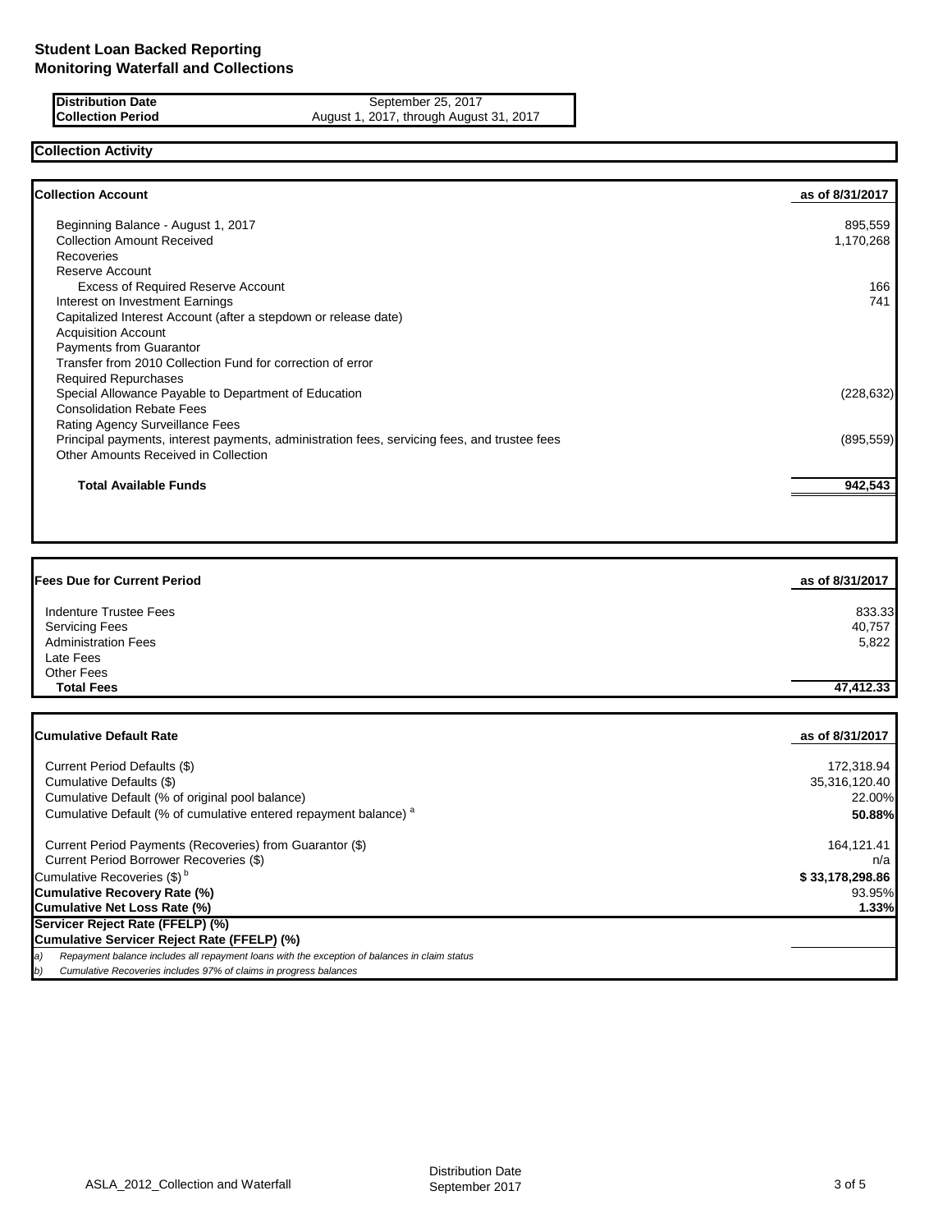**Distribution Date** September 25, 2017<br>**Collection Period** August 1, 2017, through August August 1, 2017, through August 31, 2017

# **Collection Activity**

| <b>Collection Account</b>                                                                    | as of 8/31/2017 |
|----------------------------------------------------------------------------------------------|-----------------|
| Beginning Balance - August 1, 2017                                                           | 895,559         |
| <b>Collection Amount Received</b>                                                            | 1,170,268       |
| Recoveries                                                                                   |                 |
| Reserve Account                                                                              |                 |
| <b>Excess of Required Reserve Account</b>                                                    | 166             |
| Interest on Investment Earnings                                                              | 741             |
| Capitalized Interest Account (after a stepdown or release date)                              |                 |
| <b>Acquisition Account</b>                                                                   |                 |
| Payments from Guarantor                                                                      |                 |
| Transfer from 2010 Collection Fund for correction of error                                   |                 |
| <b>Required Repurchases</b>                                                                  |                 |
| Special Allowance Payable to Department of Education                                         | (228, 632)      |
| <b>Consolidation Rebate Fees</b>                                                             |                 |
| Rating Agency Surveillance Fees                                                              |                 |
| Principal payments, interest payments, administration fees, servicing fees, and trustee fees | (895, 559)      |
| Other Amounts Received in Collection                                                         |                 |
| <b>Total Available Funds</b>                                                                 | 942,543         |
|                                                                                              |                 |

| <b>Fees Due for Current Period</b>                                                                  | as of 8/31/2017 |
|-----------------------------------------------------------------------------------------------------|-----------------|
| Indenture Trustee Fees                                                                              | 833.33          |
| <b>Servicing Fees</b>                                                                               | 40,757          |
| <b>Administration Fees</b>                                                                          | 5,822           |
| Late Fees                                                                                           |                 |
| Other Fees                                                                                          |                 |
| <b>Total Fees</b>                                                                                   | 47,412.33       |
| <b>Cumulative Default Rate</b>                                                                      | as of 8/31/2017 |
| Current Period Defaults (\$)                                                                        | 172,318.94      |
| Cumulative Defaults (\$)                                                                            | 35,316,120.40   |
| Cumulative Default (% of original pool balance)                                                     | 22.00%          |
| Cumulative Default (% of cumulative entered repayment balance) <sup>a</sup>                         | 50.88%          |
| Current Period Payments (Recoveries) from Guarantor (\$)                                            | 164,121.41      |
| Current Period Borrower Recoveries (\$)                                                             | n/a             |
| Cumulative Recoveries (\$) <sup>b</sup>                                                             | \$33,178,298.86 |
| <b>Cumulative Recovery Rate (%)</b>                                                                 | 93.95%          |
| <b>Cumulative Net Loss Rate (%)</b>                                                                 | 1.33%           |
| Servicer Reject Rate (FFELP) (%)                                                                    |                 |
| Cumulative Servicer Reject Rate (FFELP) (%)                                                         |                 |
| Repayment balance includes all repayment loans with the exception of balances in claim status<br>a) |                 |

*b) Cumulative Recoveries includes 97% of claims in progress balances*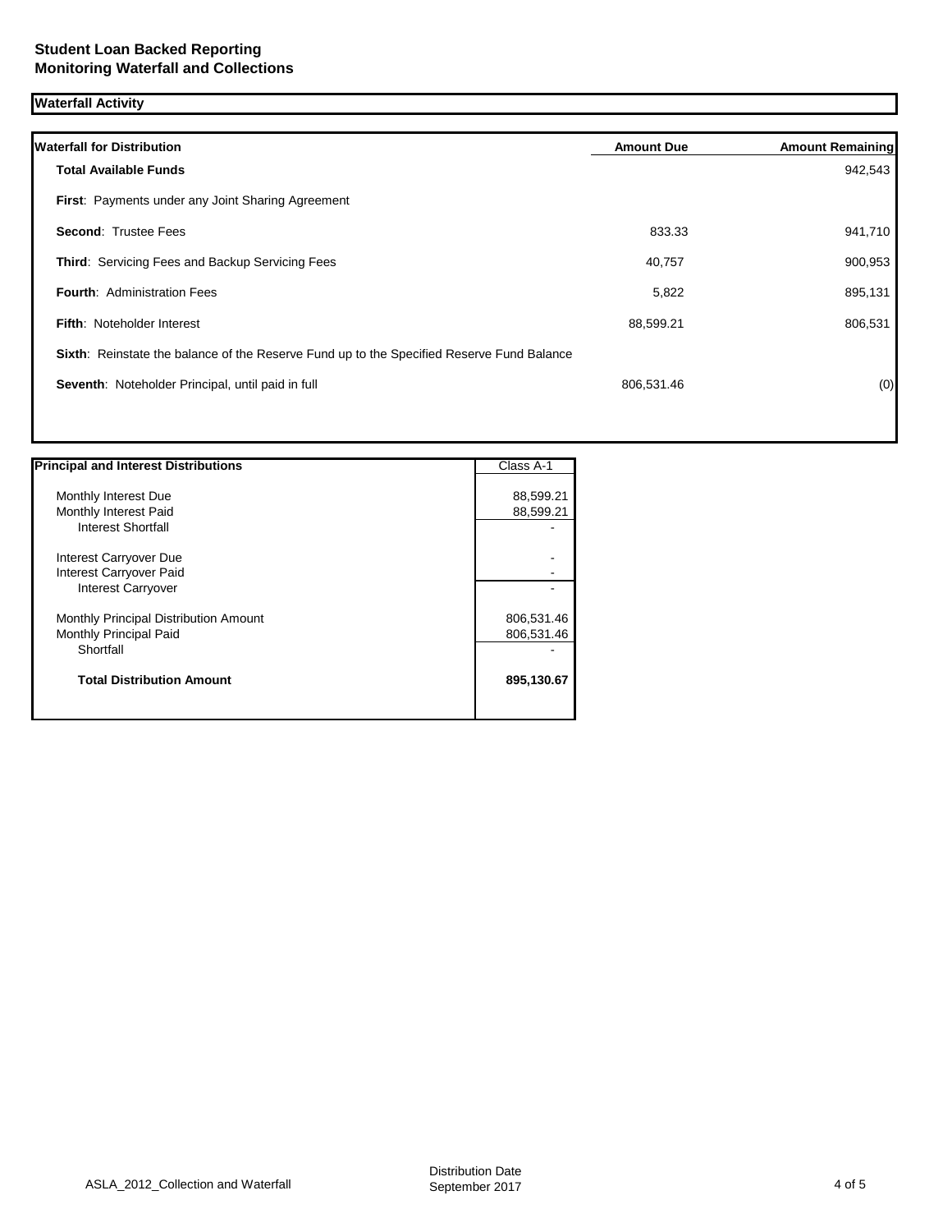# **Waterfall Activity**

| <b>Total Available Funds</b><br><b>First:</b> Payments under any Joint Sharing Agreement  |            | 942,543 |
|-------------------------------------------------------------------------------------------|------------|---------|
|                                                                                           |            |         |
|                                                                                           |            |         |
| <b>Second: Trustee Fees</b>                                                               | 833.33     | 941,710 |
| <b>Third: Servicing Fees and Backup Servicing Fees</b>                                    | 40,757     | 900,953 |
| <b>Fourth: Administration Fees</b>                                                        | 5,822      | 895,131 |
| <b>Fifth: Noteholder Interest</b>                                                         | 88,599.21  | 806,531 |
| Sixth: Reinstate the balance of the Reserve Fund up to the Specified Reserve Fund Balance |            |         |
| Seventh: Noteholder Principal, until paid in full                                         | 806,531.46 | (0)     |

| <b>Principal and Interest Distributions</b> | Class A-1  |
|---------------------------------------------|------------|
|                                             |            |
| Monthly Interest Due                        | 88,599.21  |
| Monthly Interest Paid                       | 88,599.21  |
| <b>Interest Shortfall</b>                   |            |
| Interest Carryover Due                      |            |
| Interest Carryover Paid                     |            |
| <b>Interest Carryover</b>                   |            |
| Monthly Principal Distribution Amount       | 806,531.46 |
| Monthly Principal Paid                      | 806,531.46 |
| Shortfall                                   |            |
| <b>Total Distribution Amount</b>            | 895,130.67 |
|                                             |            |